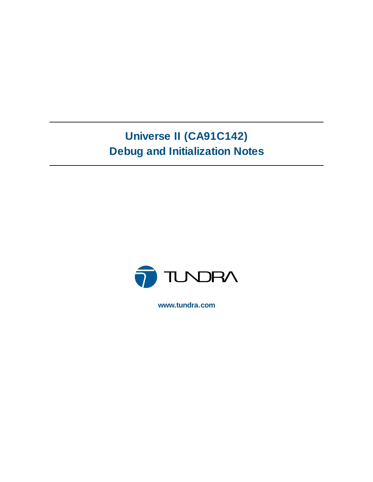# **Universe II (CA91C142) Debug and Initialization Notes**



**www.tundra.com**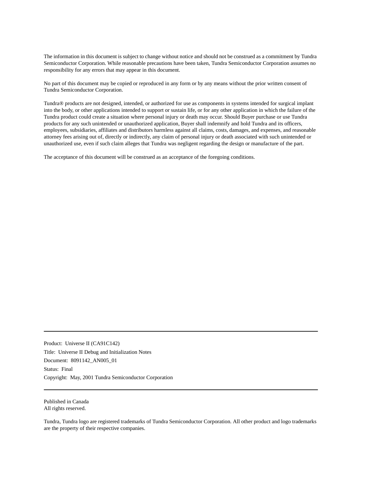The information in this document is subject to change without notice and should not be construed as a commitment by Tundra Semiconductor Corporation. While reasonable precautions have been taken, Tundra Semiconductor Corporation assumes no responsibility for any errors that may appear in this document.

No part of this document may be copied or reproduced in any form or by any means without the prior written consent of Tundra Semiconductor Corporation.

Tundra® products are not designed, intended, or authorized for use as components in systems intended for surgical implant into the body, or other applications intended to support or sustain life, or for any other application in which the failure of the Tundra product could create a situation where personal injury or death may occur. Should Buyer purchase or use Tundra products for any such unintended or unauthorized application, Buyer shall indemnify and hold Tundra and its officers, employees, subsidiaries, affiliates and distributors harmless against all claims, costs, damages, and expenses, and reasonable attorney fees arising out of, directly or indirectly, any claim of personal injury or death associated with such unintended or unauthorized use, even if such claim alleges that Tundra was negligent regarding the design or manufacture of the part.

The acceptance of this document will be construed as an acceptance of the foregoing conditions.

Product: Universe II (CA91C142) Title: Universe II Debug and Initialization Notes Document: 8091142\_AN005\_01 Status: Final Copyright: May, 2001 Tundra Semiconductor Corporation

Published in Canada All rights reserved.

Tundra, Tundra logo are registered trademarks of Tundra Semiconductor Corporation. All other product and logo trademarks are the property of their respective companies.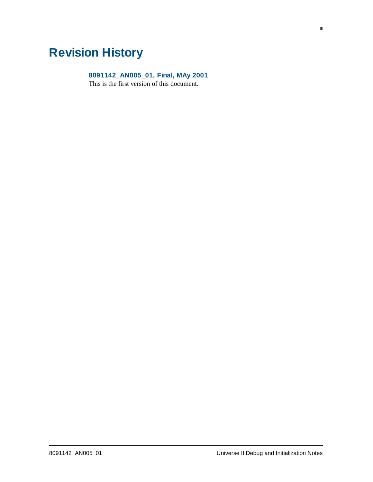# **Revision History**

### **8091142\_AN005\_01, Final, MAy 2001**

This is the first version of this document.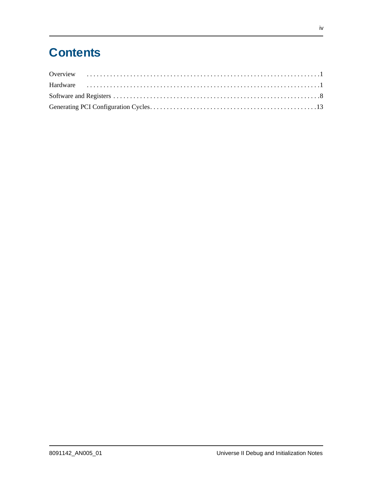# **Contents**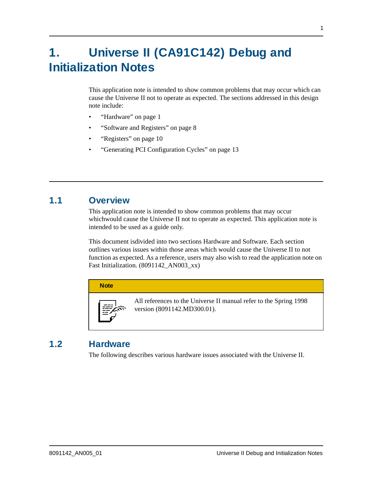# **1. Universe II (CA91C142) Debug and Initialization Notes**

This application note is intended to show common problems that may occur which can cause the Universe II not to operate as expected. The sections addressed in this design note include:

- ["Hardware" on page 1](#page-4-0)
- ["Software and Registers" on page 8](#page-11-0)
- ["Registers" on page 10](#page-13-0)
- ["Generating PCI Configuration Cycles" on page 13](#page-16-0)

# **1.1 Overview**

This application note is intended to show common problems that may occur whichwould cause the Universe II not to operate as expected. This application note is intended to be used as a guide only.

This document isdivided into two sections Hardware and Software. Each section outlines various issues within those areas which would cause the Universe II to not function as expected. As a reference, users may also wish to read the application note on Fast Initialization. (8091142\_AN003\_xx)



# <span id="page-4-0"></span>**1.2 Hardware**

The following describes various hardware issues associated with the Universe II.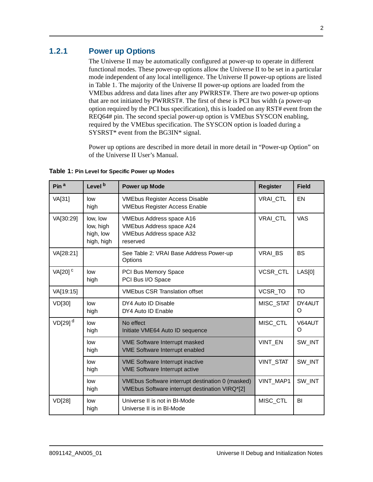## **1.2.1 Power up Options**

The Universe II may be automatically configured at power-up to operate in different functional modes. These power-up options allow the Universe II to be set in a particular mode independent of any local intelligence. The Universe II power-up options are listed in Table 1. The majority of the Universe II power-up options are loaded from the VMEbus address and data lines after any PWRRST#. There are two power-up options that are not initiated by PWRRST#. The first of these is PCI bus width (a power-up option required by the PCI bus specification), this is loaded on any RST# event from the REQ64# pin. The second special power-up option is VMEbus SYSCON enabling, required by the VMEbus specification. The SYSCON option is loaded during a SYSRST\* event from the BG3IN\* signal.

Power up options are described in more detail in more detail in "Power-up Option" on of the Universe II User's Manual.

| Pin $a$             | Level <sup>b</sup>                               | Power up Mode                                                                                                     | <b>Register</b> | <b>Field</b> |
|---------------------|--------------------------------------------------|-------------------------------------------------------------------------------------------------------------------|-----------------|--------------|
| VA[31]              | low<br>high                                      | <b>VMEbus Register Access Disable</b><br><b>VMEbus Register Access Enable</b>                                     | VRAI_CTL        | EN           |
| VA[30:29]           | low, low<br>low, high<br>high, low<br>high, high | <b>VMEbus Address space A16</b><br><b>VMEbus Address space A24</b><br><b>VMEbus Address space A32</b><br>reserved | VRAI_CTL        | <b>VAS</b>   |
| VA[28:21]           |                                                  | See Table 2: VRAI Base Address Power-up<br>Options                                                                | VRAI BS         | <b>BS</b>    |
| VA[20] <sup>c</sup> | low<br>high                                      | PCI Bus Memory Space<br>PCI Bus I/O Space                                                                         | <b>VCSR CTL</b> | LAS[0]       |
| VA[19:15]           |                                                  | <b>VMEbus CSR Translation offset</b>                                                                              | VCSR_TO         | <b>TO</b>    |
| VD[30]              | low<br>high                                      | DY4 Auto ID Disable<br>DY4 Auto ID Enable                                                                         | MISC_STAT       | DY4AUT<br>O  |
| VD[29] <sup>d</sup> | low<br>high                                      | No effect<br>Initiate VME64 Auto ID sequence                                                                      | MISC_CTL        | V64AUT<br>O  |
|                     | low<br>high                                      | <b>VME Software Interrupt masked</b><br><b>VME Software Interrupt enabled</b>                                     | VINT_EN         | SW_INT       |
|                     | low<br>high                                      | <b>VME Software Interrupt inactive</b><br><b>VME Software Interrupt active</b>                                    | VINT_STAT       | SW_INT       |
|                     | low<br>high                                      | VMEbus Software interrupt destination 0 (masked)<br>VMEbus Software interrupt destination VIRQ*[2]                | VINT_MAP1       | SW_INT       |
| VD[28]              | low<br>high                                      | Universe II is not in BI-Mode<br>Universe II is in BI-Mode                                                        | MISC_CTL        | BI           |

**Table 1: Pin Level for Specific Power up Modes**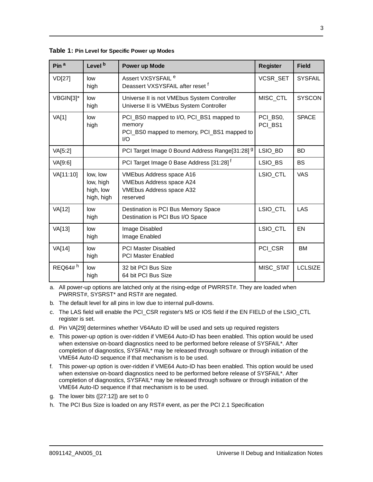| Pin <sup>a</sup> | Level <sup>b</sup>                               | Power up Mode                                                                                                     | <b>Register</b>     | <b>Field</b>   |
|------------------|--------------------------------------------------|-------------------------------------------------------------------------------------------------------------------|---------------------|----------------|
| VD[27]           | low<br>high                                      | Assert VXSYSFAIL <sup>e</sup><br>Deassert VXSYSFAIL after reset f                                                 | VCSR_SET            | <b>SYSFAIL</b> |
| VBGIN[3]*        | low<br>high                                      | Universe II is not VMEbus System Controller<br>Universe II is VMEbus System Controller                            | MISC CTL            | <b>SYSCON</b>  |
| <b>VA[1]</b>     | low<br>high                                      | PCI_BS0 mapped to I/O, PCI_BS1 mapped to<br>memory<br>PCI BS0 mapped to memory, PCI BS1 mapped to<br>1/O          | PCI_BS0,<br>PCI BS1 | <b>SPACE</b>   |
| VA[5:2]          |                                                  | PCI Target Image 0 Bound Address Range[31:28] 9                                                                   | LSIO BD             | <b>BD</b>      |
| VA[9:6]          |                                                  | PCI Target Image 0 Base Address [31:28] <sup>f</sup>                                                              | LSIO_BS             | <b>BS</b>      |
| VA[11:10]        | low, low<br>low, high<br>high, low<br>high, high | <b>VMEbus Address space A16</b><br><b>VMEbus Address space A24</b><br><b>VMEbus Address space A32</b><br>reserved | LSIO_CTL            | <b>VAS</b>     |
| VA[12]           | low<br>high                                      | Destination is PCI Bus Memory Space<br>Destination is PCI Bus I/O Space                                           | LSIO_CTL            | LAS            |
| VA[13]           | low<br>high                                      | Image Disabled<br>Image Enabled                                                                                   | LSIO_CTL            | EN             |
| VA[14]           | low<br>high                                      | <b>PCI Master Disabled</b><br><b>PCI Master Enabled</b>                                                           | PCI_CSR             | <b>BM</b>      |
| REQ64#h          | low<br>high                                      | 32 bit PCI Bus Size<br>64 bit PCI Bus Size                                                                        | MISC_STAT           | <b>LCLSIZE</b> |

**Table 1: Pin Level for Specific Power up Modes**

a. All power-up options are latched only at the rising-edge of PWRRST#. They are loaded when PWRRST#, SYSRST\* and RST# are negated.

- b. The default level for all pins in low due to internal pull-downs.
- c. The LAS field will enable the PCI\_CSR register's MS or IOS field if the EN FIELD of the LSIO\_CTL register is set.
- d. Pin VA[29] determines whether V64Auto ID will be used and sets up required registers
- e. This power-up option is over-ridden if VME64 Auto-ID has been enabled. This option would be used when extensive on-board diagnostics need to be performed before release of SYSFAIL\*. After completion of diagnostics, SYSFAIL\* may be released through software or through initiation of the VME64 Auto-ID sequence if that mechanism is to be used.
- f. This power-up option is over-ridden if VME64 Auto-ID has been enabled. This option would be used when extensive on-board diagnostics need to be performed before release of SYSFAIL\*. After completion of diagnostics, SYSFAIL\* may be released through software or through initiation of the VME64 Auto-ID sequence if that mechanism is to be used.
- g. The lower bits ([27:12]) are set to 0
- h. The PCI Bus Size is loaded on any RST# event, as per the PCI 2.1 Specification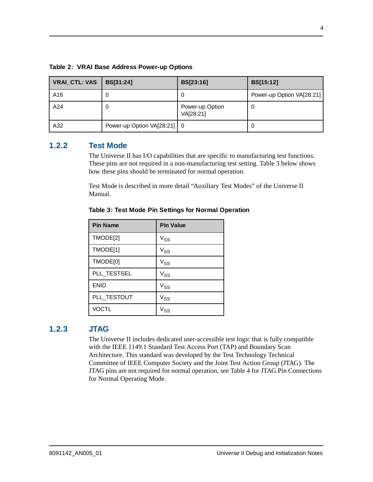| <b>VRAI_CTL: VAS</b> | BS[31:24]                   | BS[23:16]                    | <b>BS[15:12]</b>          |
|----------------------|-----------------------------|------------------------------|---------------------------|
| A16                  |                             | U                            | Power-up Option VA[28:21] |
| A24                  |                             | Power-up Option<br>VA[28:21] | 0                         |
| A32                  | Power-up Option VA[28:21] 0 |                              | O                         |

**Table 2: VRAI Base Address Power-up Options**

#### **1.2.2 Test Mode**

The Universe II has I/O capabilities that are specific to manufacturing test functions. These pins are not required in a non-manufacturing test setting. Table 3 below shows how these pins should be terminated for normal operation.

Test Mode is described in more detail "Auxiliary Test Modes" of the Universe II Manual.

| <b>Pin Name</b> | <b>Pin Value</b>                                   |
|-----------------|----------------------------------------------------|
| TMODE[2]        | $V_{SS}$                                           |
| TMODE[1]        | $V_{\mathsf{SS}}$                                  |
| TMODE[0]        | $V_{SS}$                                           |
| PLL_TESTSEL     | $V_{SS}$                                           |
| <b>ENID</b>     | Vss                                                |
| PLL_TESTOUT     | $V_{SS}$                                           |
| <b>VOCTL</b>    | $\ensuremath{\mathsf{v}}_\ensuremath{\mathsf{SS}}$ |

**Table 3: Test Mode Pin Settings for Normal Operation**

## **1.2.3 JTAG**

The Universe II includes dedicated user-accessible test logic that is fully compatible with the IEEE 1149.1 Standard Test Access Port (TAP) and Boundary Scan Architecture. This standard was developed by the Test Technology Technical Committee of IEEE Computer Society and the Joint Test Action Group (JTAG). The JTAG pins are not required for normal operation, see Table 4 for JTAG Pin Connections for Normal Operating Mode.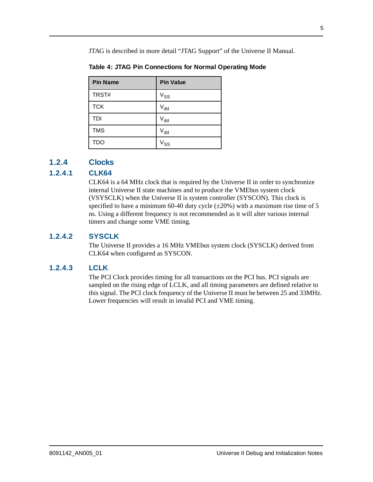JTAG is described in more detail "JTAG Support" of the Universe II Manual.

| <b>Pin Name</b> | <b>Pin Value</b>           |
|-----------------|----------------------------|
| TRST#           | $\mathsf{V}_{\mathsf{SS}}$ |
| <b>TCK</b>      | $\mathsf{V}_{\mathsf{dd}}$ |
| TDI             | $\mathsf{V}_{\mathsf{dd}}$ |
| <b>TMS</b>      | $\mathsf{V}_{\mathsf{dd}}$ |
| <b>TDO</b>      | Vss                        |

**Table 4: JTAG Pin Connections for Normal Operating Mode**

## **1.2.4 Clocks**

## **1.2.4.1 CLK64**

CLK64 is a 64 MHz clock that is required by the Universe II in order to synchronize internal Universe II state machines and to produce the VMEbus system clock (VSYSCLK) when the Universe II is system controller (SYSCON). This clock is specified to have a minimum 60-40 duty cycle  $(\pm 20\%)$  with a maximum rise time of 5 ns. Using a different frequency is not recommended as it will alter various internal timers and change some VME timing.

## **1.2.4.2 SYSCLK**

The Universe II provides a 16 MHz VMEbus system clock (SYSCLK) derived from CLK64 when configured as SYSCON.

## **1.2.4.3 LCLK**

The PCI Clock provides timing for all transactions on the PCI bus. PCI signals are sampled on the rising edge of LCLK, and all timing parameters are defined relative to this signal. The PCI clock frequency of the Universe II must be between 25 and 33MHz. Lower frequencies will result in invalid PCI and VME timing.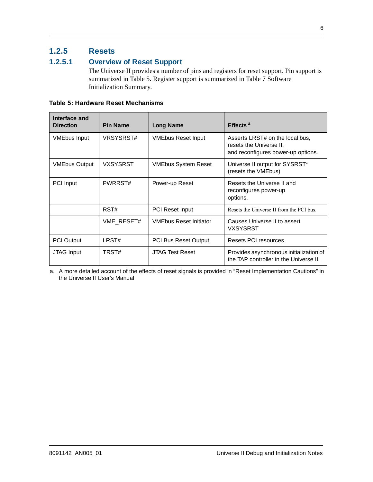## **1.2.5 Resets**

## **1.2.5.1 Overview of Reset Support**

The Universe II provides a number of pins and registers for reset support. Pin support is summarized in Table 5. Register support is summarized in Table 7 Software Initialization Summary.

| <b>Table 5: Hardware Reset Mechanisms</b> |  |
|-------------------------------------------|--|
|-------------------------------------------|--|

| Interface and<br><b>Direction</b> | <b>Pin Name</b> | <b>Long Name</b>              | Effects <sup>a</sup>                                                                             |
|-----------------------------------|-----------------|-------------------------------|--------------------------------------------------------------------------------------------------|
| <b>VMEbus Input</b>               | VRSYSRST#       | <b>VMEbus Reset Input</b>     | Asserts LRST# on the local bus,<br>resets the Universe II,<br>and reconfigures power-up options. |
| <b>VMEbus Output</b>              | VXSYSRST        | <b>VMEbus System Reset</b>    | Universe II output for SYSRST*<br>(resets the VMEbus)                                            |
| PCI Input                         | PWRRST#         | Power-up Reset                | Resets the Universe II and<br>reconfigures power-up<br>options.                                  |
|                                   | RST#            | <b>PCI Reset Input</b>        | Resets the Universe II from the PCI bus.                                                         |
|                                   | VME RESET#      | <b>VMEbus Reset Initiator</b> | Causes Universe II to assert<br><b>VXSYSRST</b>                                                  |
| <b>PCI Output</b>                 | LRST#           | <b>PCI Bus Reset Output</b>   | Resets PCI resources                                                                             |
| <b>JTAG</b> Input                 | TRST#           | <b>JTAG Test Reset</b>        | Provides asynchronous initialization of<br>the TAP controller in the Universe II.                |

a. A more detailed account of the effects of reset signals is provided in "Reset Implementation Cautions" in the Universe II User's Manual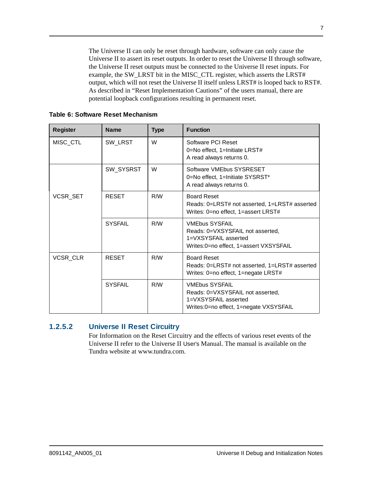The Universe II can only be reset through hardware, software can only cause the Universe II to assert its reset outputs. In order to reset the Universe II through software, the Universe II reset outputs must be connected to the Universe II reset inputs. For example, the SW\_LRST bit in the MISC\_CTL register, which asserts the LRST# output, which will not reset the Universe II itself unless LRST# is looped back to RST#. As described in "Reset Implementation Cautions" of the users manual, there are potential loopback configurations resulting in permanent reset.

| <b>Register</b> | <b>Name</b>    | <b>Type</b> | <b>Function</b>                                                                                                             |
|-----------------|----------------|-------------|-----------------------------------------------------------------------------------------------------------------------------|
| MISC_CTL        | SW_LRST        | W           | Software PCI Reset<br>0=No effect, 1=Initiate LRST#<br>A read always returns 0.                                             |
|                 | SW_SYSRST      | W           | Software VMEbus SYSRESET<br>0=No effect, 1=Initiate SYSRST*<br>A read always returns 0.                                     |
| <b>VCSR SET</b> | <b>RESET</b>   | R/W         | <b>Board Reset</b><br>Reads: 0=LRST# not asserted, 1=LRST# asserted<br>Writes: 0=no effect, 1=assert LRST#                  |
|                 | <b>SYSFAIL</b> | R/M         | <b>VMEbus SYSFAIL</b><br>Reads: 0=VXSYSFAIL not asserted.<br>1=VXSYSFAIL asserted<br>Writes:0=no effect, 1=assert VXSYSFAIL |
| VCSR CLR        | <b>RESET</b>   | R/W         | <b>Board Reset</b><br>Reads: 0=LRST# not asserted, 1=LRST# asserted<br>Writes: 0=no effect, 1=negate LRST#                  |
|                 | <b>SYSFAIL</b> | R/W         | <b>VMEbus SYSFAIL</b><br>Reads: 0=VXSYSFAIL not asserted,<br>1=VXSYSFAIL asserted<br>Writes:0=no effect, 1=negate VXSYSFAIL |

**Table 6: Software Reset Mechanism**

#### **1.2.5.2 Universe II Reset Circuitry**

For Information on the Reset Circuitry and the effects of various reset events of the Universe II refer to the Universe II User's Manual. The manual is available on the Tundra website at www.tundra.com.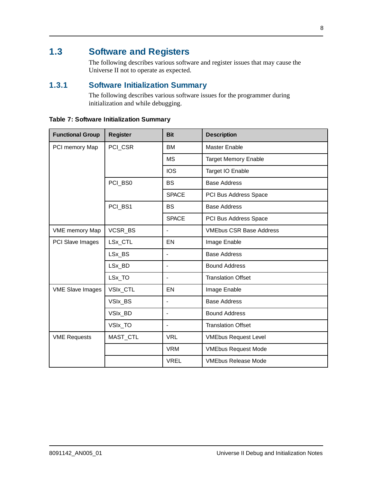# <span id="page-11-0"></span>**1.3 Software and Registers**

The following describes various software and register issues that may cause the Universe II not to operate as expected.

## **1.3.1 Software Initialization Summary**

The following describes various software issues for the programmer during initialization and while debugging.

<span id="page-11-1"></span>

| <b>Table 7: Software Initialization Summary</b> |  |  |
|-------------------------------------------------|--|--|
|-------------------------------------------------|--|--|

| <b>Functional Group</b> | <b>Register</b> | <b>Bit</b>               | <b>Description</b>             |
|-------------------------|-----------------|--------------------------|--------------------------------|
| PCI memory Map          | PCI_CSR         | <b>BM</b>                | <b>Master Enable</b>           |
|                         |                 | <b>MS</b>                | <b>Target Memory Enable</b>    |
|                         |                 | <b>IOS</b>               | Target IO Enable               |
|                         | PCI BS0         | <b>BS</b>                | <b>Base Address</b>            |
|                         |                 | <b>SPACE</b>             | PCI Bus Address Space          |
|                         | PCI_BS1         | <b>BS</b>                | <b>Base Address</b>            |
|                         |                 | <b>SPACE</b>             | PCI Bus Address Space          |
| <b>VME</b> memory Map   | VCSR_BS         | $\blacksquare$           | <b>VMEbus CSR Base Address</b> |
| PCI Slave Images        | LSx_CTL         | EN                       | Image Enable                   |
|                         | LSx_BS          | $\overline{\phantom{a}}$ | <b>Base Address</b>            |
|                         | LSx BD          |                          | <b>Bound Address</b>           |
|                         | LSx_TO          |                          | <b>Translation Offset</b>      |
| <b>VME Slave Images</b> | VSIx_CTL        | EN                       | Image Enable                   |
|                         | VSIx_BS         | $\overline{\phantom{a}}$ | <b>Base Address</b>            |
|                         | VSIx_BD         | $\blacksquare$           | <b>Bound Address</b>           |
|                         | VSIx_TO         | $\overline{\phantom{a}}$ | <b>Translation Offset</b>      |
| <b>VME Requests</b>     | MAST_CTL        | <b>VRL</b>               | <b>VMEbus Request Level</b>    |
|                         |                 | <b>VRM</b>               | <b>VMEbus Request Mode</b>     |
|                         |                 | <b>VREL</b>              | <b>VMEbus Release Mode</b>     |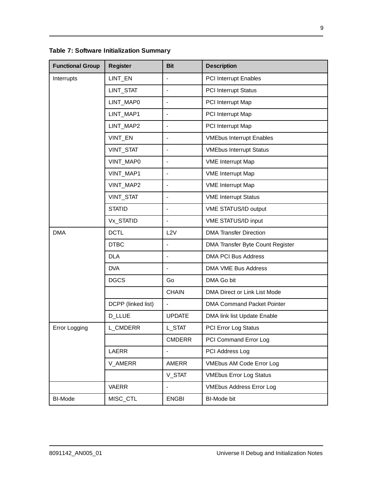**Table 7: Software Initialization Summary**

| <b>Functional Group</b> | <b>Register</b>    | <b>Bit</b>               | <b>Description</b>                |
|-------------------------|--------------------|--------------------------|-----------------------------------|
| Interrupts              | LINT_EN            |                          | <b>PCI Interrupt Enables</b>      |
|                         | LINT_STAT          | $\overline{\phantom{a}}$ | <b>PCI Interrupt Status</b>       |
|                         | LINT_MAP0          | $\overline{\phantom{a}}$ | PCI Interrupt Map                 |
|                         | LINT_MAP1          | $\overline{\phantom{a}}$ | PCI Interrupt Map                 |
|                         | LINT_MAP2          | $\overline{\phantom{a}}$ | PCI Interrupt Map                 |
|                         | VINT_EN            | $\overline{\phantom{a}}$ | <b>VMEbus Interrupt Enables</b>   |
|                         | VINT_STAT          | $\blacksquare$           | <b>VMEbus Interrupt Status</b>    |
|                         | VINT_MAP0          | $\overline{\phantom{a}}$ | <b>VME</b> Interrupt Map          |
|                         | VINT_MAP1          | $\blacksquare$           | <b>VME Interrupt Map</b>          |
|                         | VINT_MAP2          | $\blacksquare$           | <b>VME</b> Interrupt Map          |
|                         | VINT_STAT          | $\blacksquare$           | <b>VME Interrupt Status</b>       |
|                         | <b>STATID</b>      | $\overline{\phantom{a}}$ | VME STATUS/ID output              |
|                         | Vx_STATID          | $\overline{\phantom{a}}$ | VME STATUS/ID input               |
| <b>DMA</b>              | <b>DCTL</b>        | L2V                      | <b>DMA Transfer Direction</b>     |
|                         | <b>DTBC</b>        | $\blacksquare$           | DMA Transfer Byte Count Register  |
|                         | <b>DLA</b>         | $\overline{\phantom{a}}$ | <b>DMA PCI Bus Address</b>        |
|                         | <b>DVA</b>         |                          | <b>DMA VME Bus Address</b>        |
|                         | <b>DGCS</b>        | Go                       | DMA Go bit                        |
|                         |                    | <b>CHAIN</b>             | DMA Direct or Link List Mode      |
|                         | DCPP (linked list) |                          | <b>DMA Command Packet Pointer</b> |
|                         | <b>D_LLUE</b>      | <b>UPDATE</b>            | DMA link list Update Enable       |
| Error Logging           | L_CMDERR           | L_STAT                   | <b>PCI Error Log Status</b>       |
|                         |                    | <b>CMDERR</b>            | PCI Command Error Log             |
|                         | LAERR              | $\overline{\phantom{a}}$ | PCI Address Log                   |
|                         | V_AMERR            | <b>AMERR</b>             | <b>VMEbus AM Code Error Log</b>   |
|                         |                    | V_STAT                   | <b>VMEbus Error Log Status</b>    |
|                         | <b>VAERR</b>       | $\overline{\phantom{a}}$ | <b>VMEbus Address Error Log</b>   |
| BI-Mode                 | MISC_CTL           | <b>ENGBI</b>             | <b>BI-Mode bit</b>                |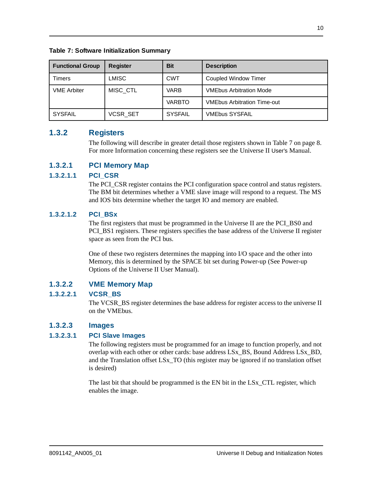**Table 7: Software Initialization Summary**

| <b>Functional Group</b> | <b>Register</b> | <b>Bit</b>     | <b>Description</b>                 |
|-------------------------|-----------------|----------------|------------------------------------|
| Timers                  | <b>LMISC</b>    | <b>CWT</b>     | Coupled Window Timer               |
| <b>VME Arbiter</b>      | MISC CTL        | <b>VARB</b>    | <b>VMEbus Arbitration Mode</b>     |
|                         |                 | <b>VARBTO</b>  | <b>VMEbus Arbitration Time-out</b> |
| <b>SYSFAIL</b>          | <b>VCSR SET</b> | <b>SYSFAIL</b> | <b>VMEbus SYSFAIL</b>              |

### <span id="page-13-0"></span>**1.3.2 Registers**

The following will describe in greater detail those registers shown in [Table 7 on page 8](#page-11-1). For more Information concerning these registers see the Universe II User's Manual.

#### **1.3.2.1 PCI Memory Map**

#### **1.3.2.1.1 PCI\_CSR**

The PCI\_CSR register contains the PCI configuration space control and status registers. The BM bit determines whether a VME slave image will respond to a request. The MS and IOS bits determine whether the target IO and memory are enabled.

#### **1.3.2.1.2 PCI\_BSx**

The first registers that must be programmed in the Universe II are the PCI\_BS0 and PCI\_BS1 registers. These registers specifies the base address of the Universe II register space as seen from the PCI bus.

One of these two registers determines the mapping into I/O space and the other into Memory, this is determined by the SPACE bit set during Power-up (See Power-up Options of the Universe II User Manual).

#### **1.3.2.2 VME Memory Map**

#### **1.3.2.2.1 VCSR\_BS**

The VCSR\_BS register determines the base address for register access to the universe II on the VMEbus.

#### **1.3.2.3 Images**

#### **1.3.2.3.1 PCI Slave Images**

The following registers must be programmed for an image to function properly, and not overlap with each other or other cards: base address LSx\_BS, Bound Address LSx\_BD, and the Translation offset LSx\_TO (this register may be ignored if no translation offset is desired)

The last bit that should be programmed is the EN bit in the LSx\_CTL register, which enables the image.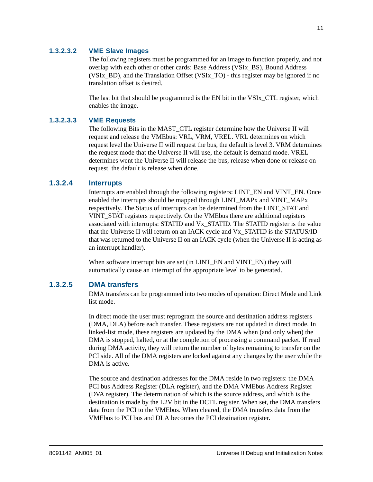#### **1.3.2.3.2 VME Slave Images**

The following registers must be programmed for an image to function properly, and not overlap with each other or other cards: Base Address (VSIx\_BS), Bound Address (VSIx\_BD), and the Translation Offset (VSIx\_TO) - this register may be ignored if no translation offset is desired.

The last bit that should be programmed is the EN bit in the VSI<sub>x</sub> CTL register, which enables the image.

#### **1.3.2.3.3 VME Requests**

The following Bits in the MAST\_CTL register determine how the Universe II will request and release the VMEbus: VRL, VRM, VREL. VRL determines on which request level the Universe II will request the bus, the default is level 3. VRM determines the request mode that the Universe II will use, the default is demand mode. VREL determines went the Universe II will release the bus, release when done or release on request, the default is release when done.

#### **1.3.2.4 Interrupts**

Interrupts are enabled through the following registers: LINT\_EN and VINT\_EN. Once enabled the interrupts should be mapped through LINT\_MAPx and VINT\_MAPx respectively. The Status of interrupts can be determined from the LINT\_STAT and VINT\_STAT registers respectively. On the VMEbus there are additional registers associated with interrupts: STATID and Vx\_STATID. The STATID register is the value that the Universe II will return on an IACK cycle and Vx\_STATID is the STATUS/ID that was returned to the Universe II on an IACK cycle (when the Universe II is acting as an interrupt handler).

When software interrupt bits are set (in LINT\_EN and VINT\_EN) they will automatically cause an interrupt of the appropriate level to be generated.

#### **1.3.2.5 DMA transfers**

DMA transfers can be programmed into two modes of operation: Direct Mode and Link list mode.

In direct mode the user must reprogram the source and destination address registers (DMA, DLA) before each transfer. These registers are not updated in direct mode. In linked-list mode, these registers are updated by the DMA when (and only when) the DMA is stopped, halted, or at the completion of processing a command packet. If read during DMA activity, they will return the number of bytes remaining to transfer on the PCI side. All of the DMA registers are locked against any changes by the user while the DMA is active.

The source and destination addresses for the DMA reside in two registers: the DMA PCI bus Address Register (DLA register), and the DMA VMEbus Address Register (DVA register). The determination of which is the source address, and which is the destination is made by the L2V bit in the DCTL register. When set, the DMA transfers data from the PCI to the VMEbus. When cleared, the DMA transfers data from the VMEbus to PCI bus and DLA becomes the PCI destination register.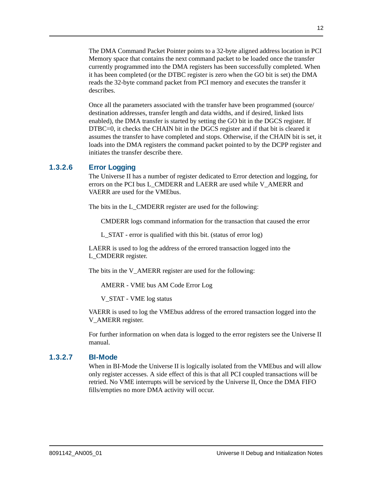The DMA Command Packet Pointer points to a 32-byte aligned address location in PCI Memory space that contains the next command packet to be loaded once the transfer currently programmed into the DMA registers has been successfully completed. When it has been completed (or the DTBC register is zero when the GO bit is set) the DMA reads the 32-byte command packet from PCI memory and executes the transfer it describes.

Once all the parameters associated with the transfer have been programmed (source/ destination addresses, transfer length and data widths, and if desired, linked lists enabled), the DMA transfer is started by setting the GO bit in the DGCS register. If DTBC=0, it checks the CHAIN bit in the DGCS register and if that bit is cleared it assumes the transfer to have completed and stops. Otherwise, if the CHAIN bit is set, it loads into the DMA registers the command packet pointed to by the DCPP register and initiates the transfer describe there.

#### **1.3.2.6 Error Logging**

The Universe II has a number of register dedicated to Error detection and logging, for errors on the PCI bus L\_CMDERR and LAERR are used while V\_AMERR and VAERR are used for the VMEbus.

The bits in the L\_CMDERR register are used for the following:

CMDERR logs command information for the transaction that caused the error

L\_STAT - error is qualified with this bit. (status of error log)

LAERR is used to log the address of the errored transaction logged into the L CMDERR register.

The bits in the V\_AMERR register are used for the following:

AMERR - VME bus AM Code Error Log

V\_STAT - VME log status

VAERR is used to log the VMEbus address of the errored transaction logged into the V\_AMERR register.

For further information on when data is logged to the error registers see the Universe II manual.

#### **1.3.2.7 BI-Mode**

When in BI-Mode the Universe II is logically isolated from the VMEbus and will allow only register accesses. A side effect of this is that all PCI coupled transactions will be retried. No VME interrupts will be serviced by the Universe II, Once the DMA FIFO fills/empties no more DMA activity will occur.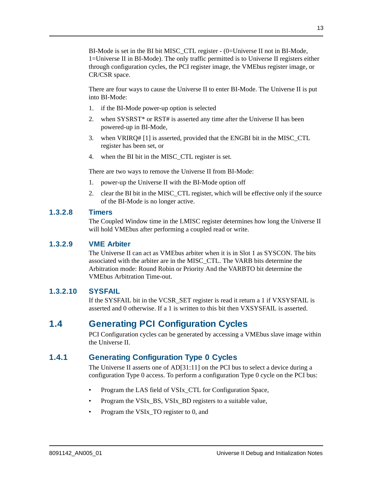BI-Mode is set in the BI bit MISC\_CTL register - (0=Universe II not in BI-Mode, 1=Universe II in BI-Mode). The only traffic permitted is to Universe II registers either through configuration cycles, the PCI register image, the VMEbus register image, or CR/CSR space.

There are four ways to cause the Universe II to enter BI-Mode. The Universe II is put into BI-Mode:

- 1. if the BI-Mode power-up option is selected
- 2. when SYSRST\* or RST# is asserted any time after the Universe II has been powered-up in BI-Mode,
- 3. when VRIRQ# [1] is asserted, provided that the ENGBI bit in the MISC\_CTL register has been set, or
- 4. when the BI bit in the MISC\_CTL register is set.

There are two ways to remove the Universe II from BI-Mode:

- 1. power-up the Universe II with the BI-Mode option off
- 2. clear the BI bit in the MISC\_CTL register, which will be effective only if the source of the BI-Mode is no longer active.

#### **1.3.2.8 Timers**

The Coupled Window time in the LMISC register determines how long the Universe II will hold VMEbus after performing a coupled read or write.

#### **1.3.2.9 VME Arbiter**

The Universe II can act as VMEbus arbiter when it is in Slot 1 as SYSCON. The bits associated with the arbiter are in the MISC\_CTL. The VARB bits determine the Arbitration mode: Round Robin or Priority And the VARBTO bit determine the VMEbus Arbitration Time-out.

#### **1.3.2.10 SYSFAIL**

If the SYSFAIL bit in the VCSR\_SET register is read it return a 1 if VXSYSFAIL is asserted and 0 otherwise. If a 1 is written to this bit then VXSYSFAIL is asserted.

## <span id="page-16-0"></span>**1.4 Generating PCI Configuration Cycles**

PCI Configuration cycles can be generated by accessing a VMEbus slave image within the Universe II.

## **1.4.1 Generating Configuration Type 0 Cycles**

The Universe II asserts one of AD[31:11] on the PCI bus to select a device during a configuration Type 0 access. To perform a configuration Type 0 cycle on the PCI bus:

- Program the LAS field of VSIx CTL for Configuration Space,
- Program the VSIx\_BS, VSIx\_BD registers to a suitable value,
- Program the VSIx\_TO register to 0, and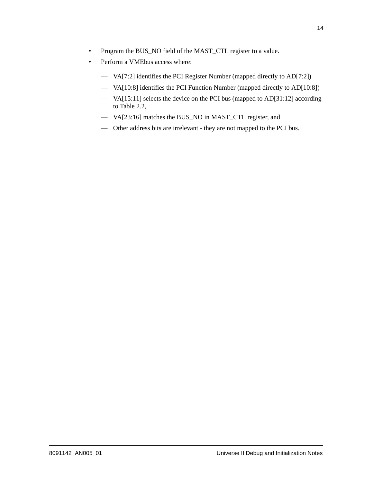- Program the BUS\_NO field of the MAST\_CTL register to a value.
- Perform a VMEbus access where:
	- VA[7:2] identifies the PCI Register Number (mapped directly to AD[7:2])
	- VA[10:8] identifies the PCI Function Number (mapped directly to AD[10:8])
	- VA[15:11] selects the device on the PCI bus (mapped to AD[31:12] according to Table 2.2,
	- VA[23:16] matches the BUS\_NO in MAST\_CTL register, and
	- Other address bits are irrelevant they are not mapped to the PCI bus.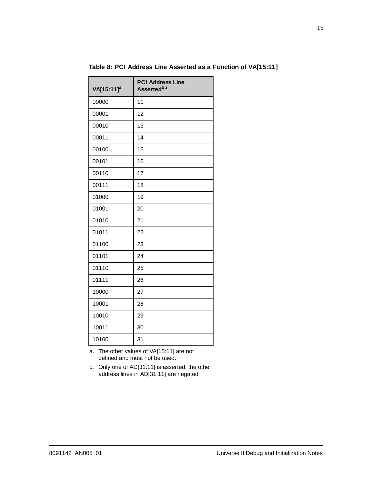| VA[15:11] <sup>a</sup> | <b>PCI Address Line</b><br><b>Assertedbb</b> |
|------------------------|----------------------------------------------|
| 00000                  | 11                                           |
| 00001                  | 12                                           |
| 00010                  | 13                                           |
| 00011                  | 14                                           |
| 00100                  | 15                                           |
| 00101                  | 16                                           |
| 00110                  | 17                                           |
| 00111                  | 18                                           |
| 01000                  | 19                                           |
| 01001                  | 20                                           |
| 01010                  | 21                                           |
| 01011                  | 22                                           |
| 01100                  | 23                                           |
| 01101                  | 24                                           |
| 01110                  | 25                                           |
| 01111                  | 26                                           |
| 10000                  | 27                                           |
| 10001                  | 28                                           |
| 10010                  | 29                                           |
| 10011                  | 30                                           |
| 10100                  | 31                                           |

**Table 8: PCI Address Line Asserted as a Function of VA[15:11]**

a. The other values of VA[15:11] are not defined and must not be used.

b. Only one of AD[31:11] is asserted; the other address lines in AD[31:11] are negated